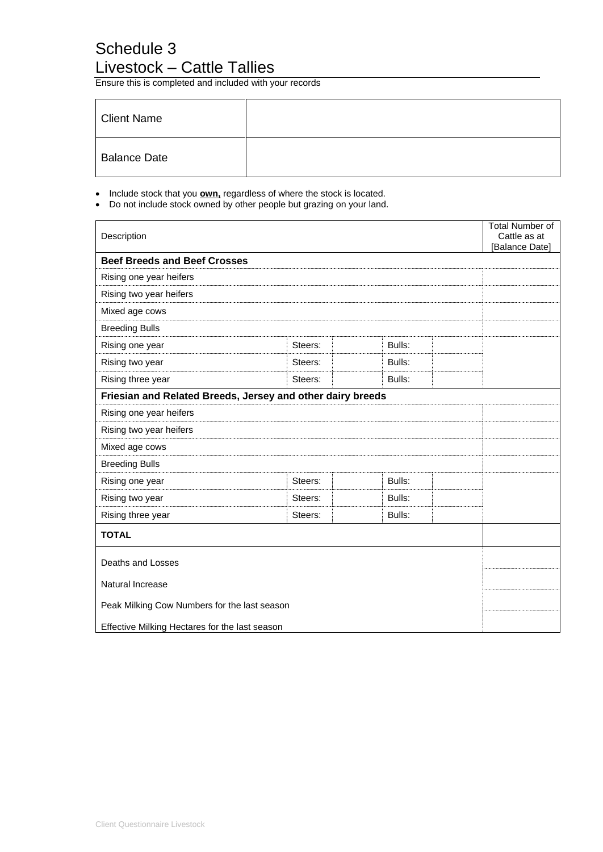## Schedule 3 Livestock – Cattle Tallies

Ensure this is completed and included with your records

| Client Name         |  |
|---------------------|--|
| <b>Balance Date</b> |  |

- Include stock that you **own,** regardless of where the stock is located.
- Do not include stock owned by other people but grazing on your land.

| Description                                                |         |        | <b>Total Number of</b><br>Cattle as at<br>[Balance Date] |
|------------------------------------------------------------|---------|--------|----------------------------------------------------------|
| <b>Beef Breeds and Beef Crosses</b>                        |         |        |                                                          |
| Rising one year heifers                                    |         |        |                                                          |
| Rising two year heifers                                    |         |        |                                                          |
| Mixed age cows                                             |         |        |                                                          |
| <b>Breeding Bulls</b>                                      |         |        |                                                          |
| Rising one year                                            | Steers: | Bulls: |                                                          |
| Rising two year                                            | Steers: | Bulls: |                                                          |
| Rising three year                                          | Steers: | Bulls: |                                                          |
| Friesian and Related Breeds, Jersey and other dairy breeds |         |        |                                                          |
| Rising one year heifers                                    |         |        |                                                          |
| Rising two year heifers                                    |         |        |                                                          |
| Mixed age cows                                             |         |        |                                                          |
| <b>Breeding Bulls</b>                                      |         |        |                                                          |
| Rising one year                                            | Steers: | Bulls: |                                                          |
| Rising two year                                            | Steers: | Bulls: |                                                          |
| Rising three year                                          | Steers: | Bulls: |                                                          |
| <b>TOTAL</b>                                               |         |        |                                                          |
| Deaths and Losses                                          |         |        |                                                          |
| Natural Increase                                           |         |        |                                                          |
| Peak Milking Cow Numbers for the last season               |         |        |                                                          |
| Effective Milking Hectares for the last season             |         |        |                                                          |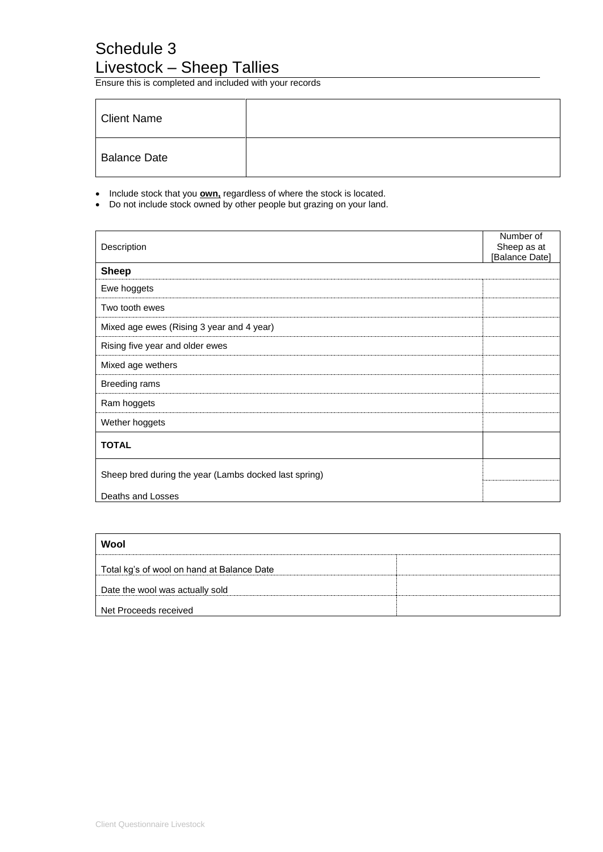## Schedule 3 Livestock – Sheep Tallies

Ensure this is completed and included with your records

| <b>Client Name</b>  |  |
|---------------------|--|
| <b>Balance Date</b> |  |

- Include stock that you **own,** regardless of where the stock is located.
- Do not include stock owned by other people but grazing on your land.

| Description                                           | Number of<br>Sheep as at |
|-------------------------------------------------------|--------------------------|
| <b>Sheep</b>                                          | [Balance Date]           |
| Ewe hoggets                                           |                          |
|                                                       |                          |
| Two tooth ewes                                        |                          |
| Mixed age ewes (Rising 3 year and 4 year)             |                          |
| Rising five year and older ewes                       |                          |
| Mixed age wethers                                     |                          |
| Breeding rams                                         |                          |
| Ram hoggets                                           |                          |
| Wether hoggets                                        |                          |
| <b>TOTAL</b>                                          |                          |
| Sheep bred during the year (Lambs docked last spring) |                          |
| Deaths and Losses                                     |                          |

| Wool                                       |  |
|--------------------------------------------|--|
| Total kg's of wool on hand at Balance Date |  |
| Date the wool was actually sold            |  |
| Net Proceeds received                      |  |